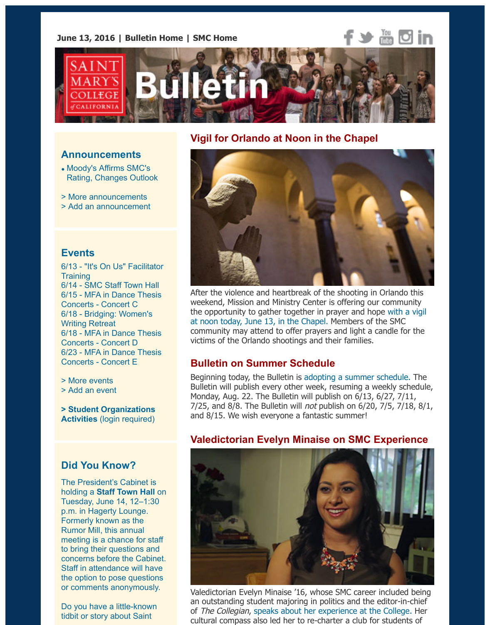

#### **Announcements**

- Moody's Affirms SMC's Rating, Changes Outlook
- > More announcements
- > Add an announcement

#### **Events**

6[/13 - "It's On Us" Facilitato](http://www.stmarys-ca.edu/moodys-affirms-smcs-rating-changes-outlook?utm_source=Bulletin&utm_medium=email&utm_content=announcement_test&utm_campaign=06-13-2016)r **Training** 6/14 [- SMC Staff Town H](http://www.stmarys-ca.edu/smc-bulletin/announcements?utm_source=Bulletin&utm_medium=email&utm_content=announcement_test&utm_campaign=06-13-2016)all 6/15 [- MFA in Dance The](http://www.stmarys-ca.edu/node/add/announcement?utm_source=Bulletin&utm_medium=email&utm_content=announcement_test&utm_campaign=06-13-2016)sis Concerts - Concert C 6/18 - Bridging: Women's Writing Retreat 6/18 - MFA in Dance Thesis Concerts - Concert D [6/23 - MFA in Dance Thesis](https://www.stmarys-ca.edu/its-on-us-facilitator-training?utm_source=Bulletin&utm_medium=email&utm_content=event_test&utm_campaign=06-13-2016) Conc[erts - Concert E](https://www.stmarys-ca.edu/staff-council-meeting-7?utm_source=Bulletin&utm_medium=email&utm_content=event_test&utm_campaign=06-13-2016)

> More events

[> Add an event](https://www.stmarys-ca.edu/mfa-in-dance-thesis-concert-c?utm_source=Bulletin&utm_medium=email&utm_content=event_test&utm_campaign=06-13-2016)

**[> Student Organizations](https://www.stmarys-ca.edu/bridging-a-one-day-writing-retreat-for-women?utm_source=Bulletin&utm_medium=email&utm_content=event_test&utm_campaign=06-13-2016) Activities** [\(login required\)](https://www.stmarys-ca.edu/mfa-in-dance-thesis-concert-d?utm_source=Bulletin&utm_medium=email&utm_content=event_test&utm_campaign=06-13-2016)

## **[Did You Kn](http://www.stmarys-ca.edu/events?utm_source=Bulletin&utm_medium=email&utm_content=event_test&utm_campaign=06-13-2016)ow?**

[The President's](http://www.stmarys-ca.edu/node/add/calendar-event?utm_source=Bulletin&utm_medium=email&utm_content=event_test&utm_campaign=06-13-2016) Cabinet is holding a **Staff Town Hall** on [Tuesday, June 14, 12–1:30](https://stmarys-ca-community.symplicity.com/) p.m. in Hagerty Lounge. Formerly known as the Rumor Mill, this annual meeting is a chance for staff to bring their questions and concerns before the Cabinet. Staff in attendance will have the optio[n to pose question](https://www.stmarys-ca.edu/staff-council-meeting-7?utm_source=Bulletin&utm_medium=email&utm_content=sidebar_test&utm_campaign=06-13-2016)s or comments anonymously.

Do you have a little-known tidbit or story about Saint

### **Vigil for Orlando at Noon in the Chapel**



After the violence and heartbreak of the shooting in Orlando the weekend, Mission and Ministry Center is offering our community the opportunity to gather together in prayer and hope with a v at noon today, June 13, in the Chapel. Members of the SMC community may attend to offer prayers and light a candle for the victims of the Orlando shootings and their families.

## **Bulletin on Summer Schedule**

Beginning today, the Bulletin is adopting a summer schedule. The Bulletin will publish every other week, resuming a weekly sche [Monday, Aug. 22. The Bulletin will publish on 6/13, 6/27, 7/11,](https://www.stmarys-ca.edu/monday-vigil-for-orlando-victims-in-chapel?lutm_source=Bulletin&utm_medium=email&utm_content=feature_test&utm_campaign=06-13-2016)  $7/25$ , and 8/8. The Bulletin will *not* publish on  $6/20$ ,  $7/5$ ,  $7/18$ , and 8/15. We wish everyone a fantastic summer!

## **Valedictorian Evelyn Minaise on SMC Experien**



Valedictorian Evelyn Minaise '16, whose SMC career included b an outstanding student majoring in politics and the editor-in-chief of The Collegian, speaks about her experience at the College. I cultural compass also led her to re-charter a club for students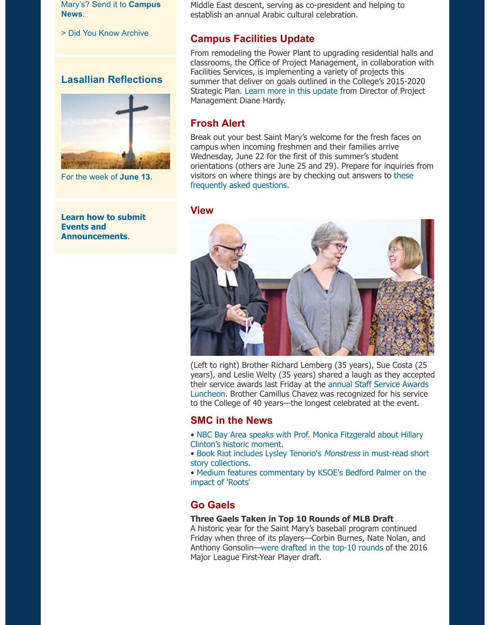

For the week of **June 13.**

**Learn how to submit Events and Announcements**.

Strategic Plan. Learn more in this update from Director of Proje Management Diane Hardy.

summer that deliver on goals outlined in the College's 2015-2020

#### **Frosh Alert**

Break out your best Saint Mary's welcome for the fresh faces on campus when incoming freshmen and their families arrive Wednesday, June 22 for the first of this summer's student orientations (others are June 25 and 29). Prepare for inquiries visitors on wh[ere things are by checking o](http://www.stmarys-ca.edu/projects-and-facilities-services-summer-2016?utm_source=Bulletin&utm_medium=email&utm_content=feature_test&utm_campaign=06-13-2016)ut answers to these frequently asked questions.

#### **View**



(Left to right) Brother Richard Lemberg (35 years), Sue Costa years), and Leslie Welty (35 years) shared a laugh as they acce their service awards last Friday at the annual Staff Service Awards Luncheon. Brother Camillus Chavez was recognized for his service to the College of 40 years—the longest celebrated at the event.

### **SMC in the News**

- NBC Bay Area speaks with Prof. Monica Fitzgerald about Hilla Clinton's historic moment.
- Book Riot includes Lysley Tenorio's Monstress in must-read short story collections.
- Medium features commentary by KSOE's Bedford Palmer on t impact of 'Roots'

## **Go Gaels**

#### **Three Gaels Taken in Top 10 Rounds of MLB Draft**

[A historic year for the Saint Mary's baseball program continued](https://www.stmarys-ca.edu/nbc-bay-area-speaks-with-prof-monica-fitzgerald-about-hillary-clinton%E2%80%99s-historic-moment?utm_source=Bulletin&utm_medium=email&utm_content=feature_test&utm_campaign=06-13-2016) Friday when three of its players—Corbin Burnes, Nate Nolan, and [Anthony Gonsolin—were drafted in the top-10 rounds of the 2016](https://www.stmarys-ca.edu/book-riot-includes-lysley-tenorios-monstress-in-must-read-short-story-collections?utm_source=Bulletin&utm_medium=email&utm_content=feature_test&utm_campaign=06-13-2016) [Major League First-Year Player draft.](https://www.stmarys-ca.edu/medium-features-commentary-by-ksoes-bedford-palmer-on-the-impact-of-roots?utm_source=Bulletin&utm_medium=email&utm_content=feature_test&utm_campaign=06-13-2016)